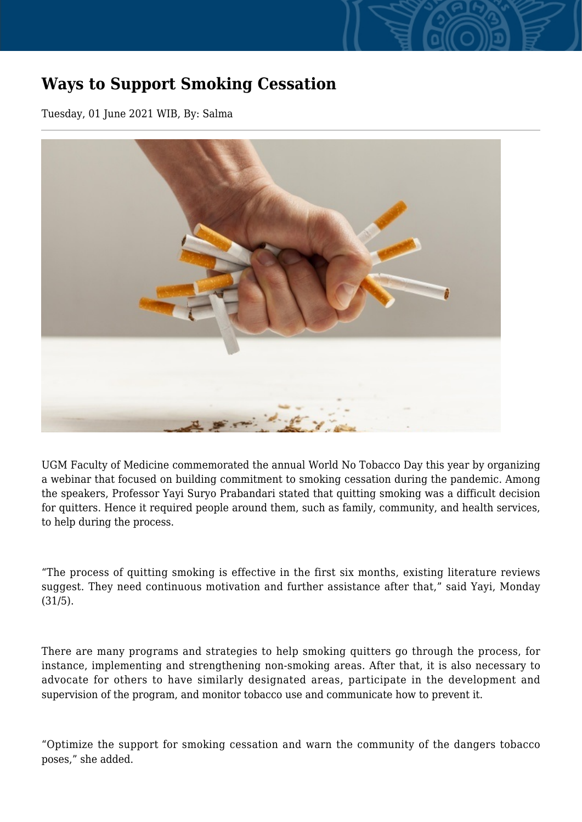## **Ways to Support Smoking Cessation**

Tuesday, 01 June 2021 WIB, By: Salma



UGM Faculty of Medicine commemorated the annual World No Tobacco Day this year by organizing a webinar that focused on building commitment to smoking cessation during the pandemic. Among the speakers, Professor Yayi Suryo Prabandari stated that quitting smoking was a difficult decision for quitters. Hence it required people around them, such as family, community, and health services, to help during the process.

"The process of quitting smoking is effective in the first six months, existing literature reviews suggest. They need continuous motivation and further assistance after that," said Yayi, Monday (31/5).

There are many programs and strategies to help smoking quitters go through the process, for instance, implementing and strengthening non-smoking areas. After that, it is also necessary to advocate for others to have similarly designated areas, participate in the development and supervision of the program, and monitor tobacco use and communicate how to prevent it.

"Optimize the support for smoking cessation and warn the community of the dangers tobacco poses," she added.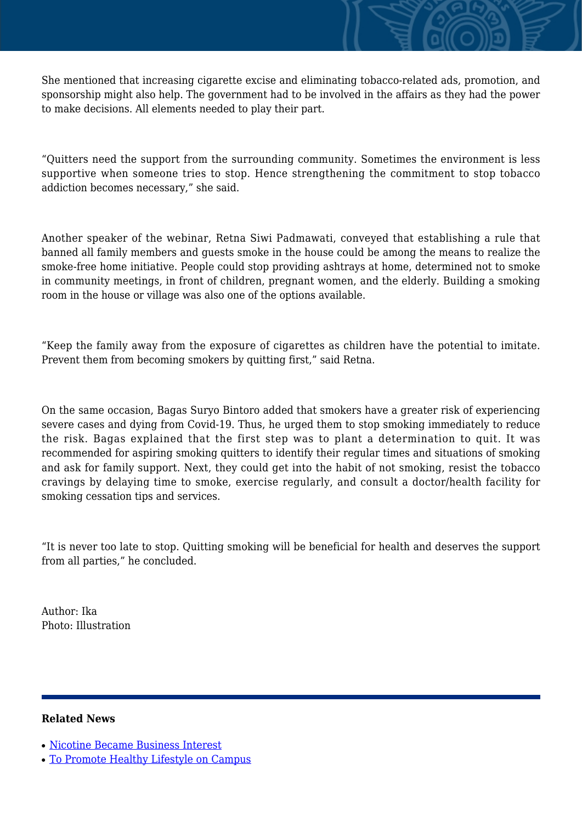She mentioned that increasing cigarette excise and eliminating tobacco-related ads, promotion, and sponsorship might also help. The government had to be involved in the affairs as they had the power to make decisions. All elements needed to play their part.

"Quitters need the support from the surrounding community. Sometimes the environment is less supportive when someone tries to stop. Hence strengthening the commitment to stop tobacco addiction becomes necessary," she said.

Another speaker of the webinar, Retna Siwi Padmawati, conveyed that establishing a rule that banned all family members and guests smoke in the house could be among the means to realize the smoke-free home initiative. People could stop providing ashtrays at home, determined not to smoke in community meetings, in front of children, pregnant women, and the elderly. Building a smoking room in the house or village was also one of the options available.

"Keep the family away from the exposure of cigarettes as children have the potential to imitate. Prevent them from becoming smokers by quitting first," said Retna.

On the same occasion, Bagas Suryo Bintoro added that smokers have a greater risk of experiencing severe cases and dying from Covid-19. Thus, he urged them to stop smoking immediately to reduce the risk. Bagas explained that the first step was to plant a determination to quit. It was recommended for aspiring smoking quitters to identify their regular times and situations of smoking and ask for family support. Next, they could get into the habit of not smoking, resist the tobacco cravings by delaying time to smoke, exercise regularly, and consult a doctor/health facility for smoking cessation tips and services.

"It is never too late to stop. Quitting smoking will be beneficial for health and deserves the support from all parties," he concluded.

Author: Ika Photo: Illustration

## **Related News**

- [Nicotine Became Business Interest](http://ugm.ac.id/www.ugm.ac.id//en/news/5414-study-on-adolescent-smoking-behavior-kamsih-astuti-achieves-doctorate-degree)
- [To Promote Healthy Lifestyle on Campus](http://ugm.ac.id/www.ugm.ac.id//en/news/15720-smoking-control-still-weak-in-indonesia)